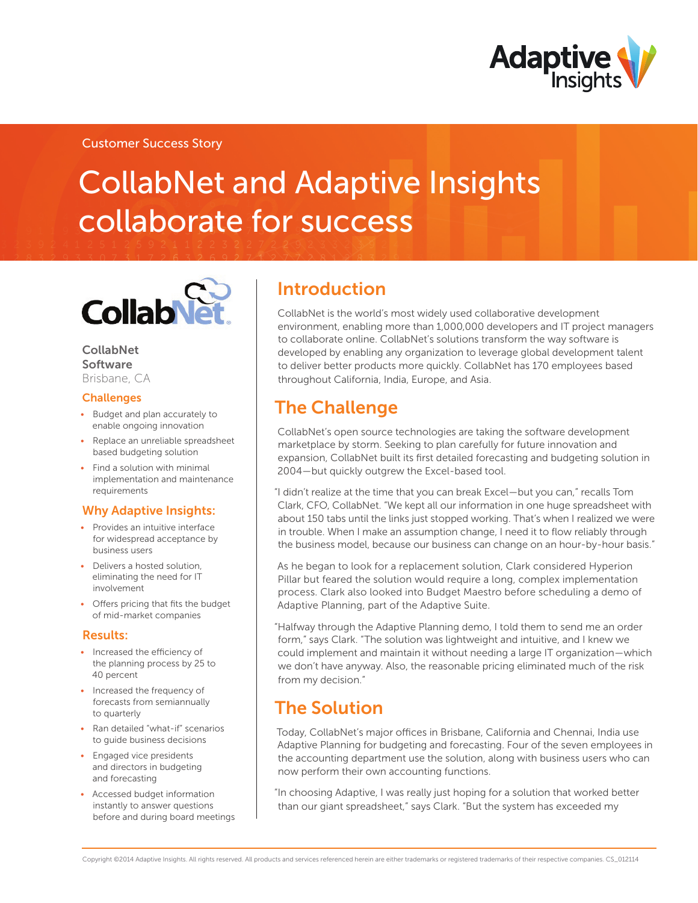

### Customer Success Story

# CollabNet and Adaptive Insights collaborate for success



#### CollabNet Software Brisbane, CA

**Challenges** 

- • Budget and plan accurately to enable ongoing innovation
- Replace an unreliable spreadsheet based budgeting solution
- Find a solution with minimal implementation and maintenance requirements

### Why Adaptive Insights:

- Provides an intuitive interface for widespread acceptance by business users
- Delivers a hosted solution, eliminating the need for IT involvement
- • Offers pricing that fits the budget of mid-market companies

#### Results:

- Increased the efficiency of the planning process by 25 to 40 percent
- Increased the frequency of forecasts from semiannually to quarterly
- Ran detailed "what-if" scenarios to guide business decisions
- Engaged vice presidents and directors in budgeting and forecasting
- Accessed budget information instantly to answer questions before and during board meetings

## Introduction

CollabNet is the world's most widely used collaborative development environment, enabling more than 1,000,000 developers and IT project managers to collaborate online. CollabNet's solutions transform the way software is developed by enabling any organization to leverage global development talent to deliver better products more quickly. CollabNet has 170 employees based throughout California, India, Europe, and Asia.

## The Challenge

CollabNet's open source technologies are taking the software development marketplace by storm. Seeking to plan carefully for future innovation and expansion, CollabNet built its first detailed forecasting and budgeting solution in 2004—but quickly outgrew the Excel-based tool.

"I didn't realize at the time that you can break Excel—but you can," recalls Tom Clark, CFO, CollabNet. "We kept all our information in one huge spreadsheet with about 150 tabs until the links just stopped working. That's when I realized we were in trouble. When I make an assumption change, I need it to flow reliably through the business model, because our business can change on an hour-by-hour basis."

As he began to look for a replacement solution, Clark considered Hyperion Pillar but feared the solution would require a long, complex implementation process. Clark also looked into Budget Maestro before scheduling a demo of Adaptive Planning, part of the Adaptive Suite.

"Halfway through the Adaptive Planning demo, I told them to send me an order form," says Clark. "The solution was lightweight and intuitive, and I knew we could implement and maintain it without needing a large IT organization—which we don't have anyway. Also, the reasonable pricing eliminated much of the risk from my decision."

### The Solution

Today, CollabNet's major offices in Brisbane, California and Chennai, India use Adaptive Planning for budgeting and forecasting. Four of the seven employees in the accounting department use the solution, along with business users who can now perform their own accounting functions.

"In choosing Adaptive, I was really just hoping for a solution that worked better than our giant spreadsheet," says Clark. "But the system has exceeded my